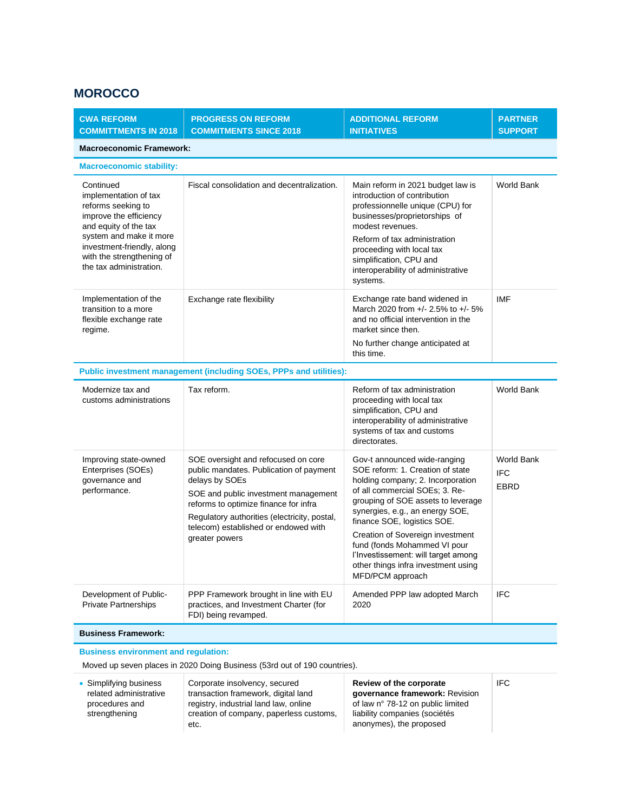## **MOROCCO**

| <b>CWA REFORM</b><br><b>COMMITTMENTS IN 2018</b>                                                                                                                                                                             | <b>PROGRESS ON REFORM</b><br><b>COMMITMENTS SINCE 2018</b>                                                                                                                                                                                                                                  | <b>ADDITIONAL REFORM</b><br><b>INITIATIVES</b>                                                                                                                                                                                                                                                                                                                                                                        | <b>PARTNER</b><br><b>SUPPORT</b>        |  |  |
|------------------------------------------------------------------------------------------------------------------------------------------------------------------------------------------------------------------------------|---------------------------------------------------------------------------------------------------------------------------------------------------------------------------------------------------------------------------------------------------------------------------------------------|-----------------------------------------------------------------------------------------------------------------------------------------------------------------------------------------------------------------------------------------------------------------------------------------------------------------------------------------------------------------------------------------------------------------------|-----------------------------------------|--|--|
| <b>Macroeconomic Framework:</b>                                                                                                                                                                                              |                                                                                                                                                                                                                                                                                             |                                                                                                                                                                                                                                                                                                                                                                                                                       |                                         |  |  |
| <b>Macroeconomic stability:</b>                                                                                                                                                                                              |                                                                                                                                                                                                                                                                                             |                                                                                                                                                                                                                                                                                                                                                                                                                       |                                         |  |  |
| Continued<br>implementation of tax<br>reforms seeking to<br>improve the efficiency<br>and equity of the tax<br>system and make it more<br>investment-friendly, along<br>with the strengthening of<br>the tax administration. | Fiscal consolidation and decentralization.                                                                                                                                                                                                                                                  | Main reform in 2021 budget law is<br>introduction of contribution<br>professionnelle unique (CPU) for<br>businesses/proprietorships of<br>modest revenues.<br>Reform of tax administration<br>proceeding with local tax<br>simplification, CPU and<br>interoperability of administrative<br>systems.                                                                                                                  | World Bank                              |  |  |
| Implementation of the<br>transition to a more<br>flexible exchange rate<br>regime.                                                                                                                                           | Exchange rate flexibility                                                                                                                                                                                                                                                                   | Exchange rate band widened in<br>March 2020 from +/- 2.5% to +/- 5%<br>and no official intervention in the<br>market since then.<br>No further change anticipated at<br>this time.                                                                                                                                                                                                                                    | <b>IMF</b>                              |  |  |
| Public investment management (including SOEs, PPPs and utilities):                                                                                                                                                           |                                                                                                                                                                                                                                                                                             |                                                                                                                                                                                                                                                                                                                                                                                                                       |                                         |  |  |
| Modernize tax and<br>customs administrations                                                                                                                                                                                 | Tax reform.                                                                                                                                                                                                                                                                                 | Reform of tax administration<br>proceeding with local tax<br>simplification, CPU and<br>interoperability of administrative<br>systems of tax and customs<br>directorates.                                                                                                                                                                                                                                             | World Bank                              |  |  |
| Improving state-owned<br>Enterprises (SOEs)<br>governance and<br>performance.                                                                                                                                                | SOE oversight and refocused on core<br>public mandates. Publication of payment<br>delays by SOEs<br>SOE and public investment management<br>reforms to optimize finance for infra<br>Regulatory authorities (electricity, postal,<br>telecom) established or endowed with<br>greater powers | Gov-t announced wide-ranging<br>SOE reform: 1. Creation of state<br>holding company; 2. Incorporation<br>of all commercial SOEs; 3. Re-<br>grouping of SOE assets to leverage<br>synergies, e.g., an energy SOE,<br>finance SOE, logistics SOE.<br>Creation of Sovereign investment<br>fund (fonds Mohammed VI pour<br>l'Investissement: will target among<br>other things infra investment using<br>MFD/PCM approach | World Bank<br><b>IFC</b><br><b>EBRD</b> |  |  |
| Development of Public-<br><b>Private Partnerships</b>                                                                                                                                                                        | PPP Framework brought in line with EU<br>practices, and Investment Charter (for<br>FDI) being revamped.                                                                                                                                                                                     | Amended PPP law adopted March<br>2020                                                                                                                                                                                                                                                                                                                                                                                 | <b>IFC</b>                              |  |  |
| <b>Business Framework:</b>                                                                                                                                                                                                   |                                                                                                                                                                                                                                                                                             |                                                                                                                                                                                                                                                                                                                                                                                                                       |                                         |  |  |
| <b>Business environment and regulation:</b>                                                                                                                                                                                  |                                                                                                                                                                                                                                                                                             |                                                                                                                                                                                                                                                                                                                                                                                                                       |                                         |  |  |

Moved up seven places in 2020 Doing Business (53rd out of 190 countries).

• Simplifying business related administrative procedures and strengthening Corporate insolvency, secured transaction framework, digital land registry, industrial land law, online creation of company, paperless customs, etc. **Review of the corporate governance framework:** Revision of law n° 78-12 on public limited liability companies (sociétés anonymes), the proposed

IFC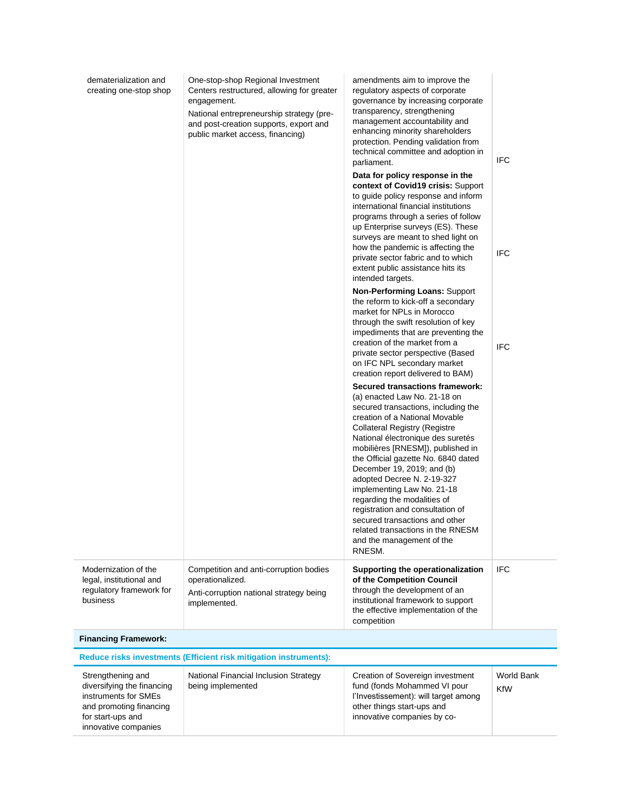| dematerialization and<br>creating one-stop shop                                                                         | One-stop-shop Regional Investment<br>Centers restructured, allowing for greater<br>engagement.<br>National entrepreneurship strategy (pre-<br>and post-creation supports, export and<br>public market access, financing) | amendments aim to improve the<br>regulatory aspects of corporate<br>governance by increasing corporate<br>transparency, strengthening<br>management accountability and<br>enhancing minority shareholders<br>protection. Pending validation from<br>technical committee and adoption in<br>parliament.<br>Data for policy response in the<br>context of Covid19 crisis: Support<br>to guide policy response and inform<br>international financial institutions<br>programs through a series of follow<br>up Enterprise surveys (ES). These<br>surveys are meant to shed light on<br>how the pandemic is affecting the<br>private sector fabric and to which<br>extent public assistance hits its<br>intended targets.<br>Non-Performing Loans: Support<br>the reform to kick-off a secondary<br>market for NPLs in Morocco<br>through the swift resolution of key<br>impediments that are preventing the | <b>IFC</b><br><b>IFC</b>        |
|-------------------------------------------------------------------------------------------------------------------------|--------------------------------------------------------------------------------------------------------------------------------------------------------------------------------------------------------------------------|----------------------------------------------------------------------------------------------------------------------------------------------------------------------------------------------------------------------------------------------------------------------------------------------------------------------------------------------------------------------------------------------------------------------------------------------------------------------------------------------------------------------------------------------------------------------------------------------------------------------------------------------------------------------------------------------------------------------------------------------------------------------------------------------------------------------------------------------------------------------------------------------------------|---------------------------------|
|                                                                                                                         |                                                                                                                                                                                                                          | creation of the market from a<br>private sector perspective (Based<br>on IFC NPL secondary market<br>creation report delivered to BAM)<br><b>Secured transactions framework:</b><br>(a) enacted Law No. 21-18 on<br>secured transactions, including the<br>creation of a National Movable<br><b>Collateral Registry (Registre</b><br>National électronique des suretés<br>mobilières [RNESM]), published in<br>the Official gazette No. 6840 dated<br>December 19, 2019; and (b)<br>adopted Decree N. 2-19-327<br>implementing Law No. 21-18<br>regarding the modalities of<br>registration and consultation of<br>secured transactions and other<br>related transactions in the RNESM<br>and the management of the<br>RNESM.                                                                                                                                                                            | <b>IFC</b>                      |
| Modernization of the<br>legal, institutional and<br>regulatory framework for<br>business                                | Competition and anti-corruption bodies<br>operationalized.<br>Anti-corruption national strategy being<br>implemented.                                                                                                    | Supporting the operationalization<br>of the Competition Council<br>through the development of an<br>institutional framework to support<br>the effective implementation of the<br>competition                                                                                                                                                                                                                                                                                                                                                                                                                                                                                                                                                                                                                                                                                                             | <b>IFC</b>                      |
| <b>Financing Framework:</b>                                                                                             |                                                                                                                                                                                                                          |                                                                                                                                                                                                                                                                                                                                                                                                                                                                                                                                                                                                                                                                                                                                                                                                                                                                                                          |                                 |
|                                                                                                                         | Reduce risks investments (Efficient risk mitigation instruments):                                                                                                                                                        |                                                                                                                                                                                                                                                                                                                                                                                                                                                                                                                                                                                                                                                                                                                                                                                                                                                                                                          |                                 |
| Strengthening and<br>diversifying the financing<br>instruments for SMEs<br>and promoting financing<br>for start-ups and | National Financial Inclusion Strategy<br>being implemented                                                                                                                                                               | Creation of Sovereign investment<br>fund (fonds Mohammed VI pour<br>l'Investissement): will target among<br>other things start-ups and<br>innovative companies by co-                                                                                                                                                                                                                                                                                                                                                                                                                                                                                                                                                                                                                                                                                                                                    | <b>World Bank</b><br><b>KfW</b> |

innovative companies